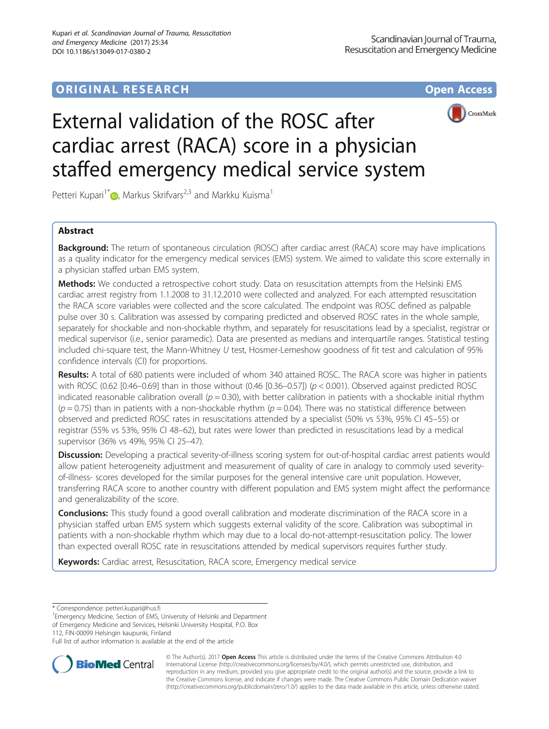# **ORIGINAL RESEARCH CONSUMING ACCESS**



# External validation of the ROSC after cardiac arrest (RACA) score in a physician staffed emergency medical service system

Petteri Kupari<sup>1\*</sup> , Markus Skrifvars<sup>2,3</sup> and Markku Kuisma<sup>1</sup>

# Abstract

**Background:** The return of spontaneous circulation (ROSC) after cardiac arrest (RACA) score may have implications as a quality indicator for the emergency medical services (EMS) system. We aimed to validate this score externally in a physician staffed urban EMS system.

Methods: We conducted a retrospective cohort study. Data on resuscitation attempts from the Helsinki EMS cardiac arrest registry from 1.1.2008 to 31.12.2010 were collected and analyzed. For each attempted resuscitation the RACA score variables were collected and the score calculated. The endpoint was ROSC defined as palpable pulse over 30 s. Calibration was assessed by comparing predicted and observed ROSC rates in the whole sample, separately for shockable and non-shockable rhythm, and separately for resuscitations lead by a specialist, registrar or medical supervisor (i.e., senior paramedic). Data are presented as medians and interquartile ranges. Statistical testing included chi-square test, the Mann-Whitney U test, Hosmer-Lemeshow goodness of fit test and calculation of 95% confidence intervals (CI) for proportions.

Results: A total of 680 patients were included of whom 340 attained ROSC. The RACA score was higher in patients with ROSC (0.62 [0.46–0.69] than in those without (0.46 [0.36–0.57]) ( $p < 0.001$ ). Observed against predicted ROSC indicated reasonable calibration overall ( $p = 0.30$ ), with better calibration in patients with a shockable initial rhythm  $(p = 0.75)$  than in patients with a non-shockable rhythm  $(p = 0.04)$ . There was no statistical difference between observed and predicted ROSC rates in resuscitations attended by a specialist (50% vs 53%, 95% CI 45–55) or registrar (55% vs 53%, 95% CI 48–62), but rates were lower than predicted in resuscitations lead by a medical supervisor (36% vs 49%, 95% CI 25–47).

**Discussion:** Developing a practical severity-of-illness scoring system for out-of-hospital cardiac arrest patients would allow patient heterogeneity adjustment and measurement of quality of care in analogy to commoly used severityof-illness- scores developed for the similar purposes for the general intensive care unit population. However, transferring RACA score to another country with different population and EMS system might affect the performance and generalizability of the score.

**Conclusions:** This study found a good overall calibration and moderate discrimination of the RACA score in a physician staffed urban EMS system which suggests external validity of the score. Calibration was suboptimal in patients with a non-shockable rhythm which may due to a local do-not-attempt-resuscitation policy. The lower than expected overall ROSC rate in resuscitations attended by medical supervisors requires further study.

Keywords: Cardiac arrest, Resuscitation, RACA score, Emergency medical service

<sup>1</sup> Emergency Medicine, Section of EMS, University of Helsinki and Department of Emergency Medicine and Services, Helsinki University Hospital, P.O. Box

112, FIN-00099 Helsingin kaupunki, Finland

Full list of author information is available at the end of the article



© The Author(s). 2017 **Open Access** This article is distributed under the terms of the Creative Commons Attribution 4.0 International License [\(http://creativecommons.org/licenses/by/4.0/](http://creativecommons.org/licenses/by/4.0/)), which permits unrestricted use, distribution, and reproduction in any medium, provided you give appropriate credit to the original author(s) and the source, provide a link to the Creative Commons license, and indicate if changes were made. The Creative Commons Public Domain Dedication waiver [\(http://creativecommons.org/publicdomain/zero/1.0/](http://creativecommons.org/publicdomain/zero/1.0/)) applies to the data made available in this article, unless otherwise stated.

<sup>\*</sup> Correspondence: [petteri.kupari@hus.fi](mailto:petteri.kupari@hus.fi) <sup>1</sup>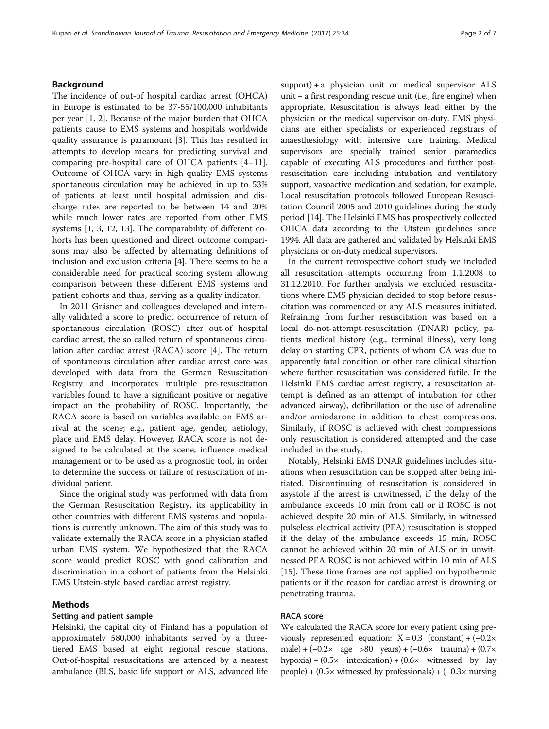# Background

The incidence of out-of hospital cardiac arrest (OHCA) in Europe is estimated to be 37-55/100,000 inhabitants per year [\[1](#page-6-0), [2\]](#page-6-0). Because of the major burden that OHCA patients cause to EMS systems and hospitals worldwide quality assurance is paramount [\[3](#page-6-0)]. This has resulted in attempts to develop means for predicting survival and comparing pre-hospital care of OHCA patients [[4](#page-6-0)–[11](#page-6-0)]. Outcome of OHCA vary: in high-quality EMS systems spontaneous circulation may be achieved in up to 53% of patients at least until hospital admission and discharge rates are reported to be between 14 and 20% while much lower rates are reported from other EMS systems [[1, 3](#page-6-0), [12](#page-6-0), [13\]](#page-6-0). The comparability of different cohorts has been questioned and direct outcome comparisons may also be affected by alternating definitions of inclusion and exclusion criteria [[4](#page-6-0)]. There seems to be a considerable need for practical scoring system allowing comparison between these different EMS systems and patient cohorts and thus, serving as a quality indicator.

In 2011 Gräsner and colleagues developed and internally validated a score to predict occurrence of return of spontaneous circulation (ROSC) after out-of hospital cardiac arrest, the so called return of spontaneous circulation after cardiac arrest (RACA) score [[4\]](#page-6-0). The return of spontaneous circulation after cardiac arrest core was developed with data from the German Resuscitation Registry and incorporates multiple pre-resuscitation variables found to have a significant positive or negative impact on the probability of ROSC. Importantly, the RACA score is based on variables available on EMS arrival at the scene; e.g., patient age, gender, aetiology, place and EMS delay. However, RACA score is not designed to be calculated at the scene, influence medical management or to be used as a prognostic tool, in order to determine the success or failure of resuscitation of individual patient.

Since the original study was performed with data from the German Resuscitation Registry, its applicability in other countries with different EMS systems and populations is currently unknown. The aim of this study was to validate externally the RACA score in a physician staffed urban EMS system. We hypothesized that the RACA score would predict ROSC with good calibration and discrimination in a cohort of patients from the Helsinki EMS Utstein-style based cardiac arrest registry.

# Methods

# Setting and patient sample

Helsinki, the capital city of Finland has a population of approximately 580,000 inhabitants served by a threetiered EMS based at eight regional rescue stations. Out-of-hospital resuscitations are attended by a nearest ambulance (BLS, basic life support or ALS, advanced life

support) + a physician unit or medical supervisor ALS unit  $+$  a first responding rescue unit (i.e., fire engine) when appropriate. Resuscitation is always lead either by the physician or the medical supervisor on-duty. EMS physicians are either specialists or experienced registrars of anaesthesiology with intensive care training. Medical supervisors are specially trained senior paramedics capable of executing ALS procedures and further postresuscitation care including intubation and ventilatory support, vasoactive medication and sedation, for example. Local resuscitation protocols followed European Resuscitation Council 2005 and 2010 guidelines during the study period [\[14](#page-6-0)]. The Helsinki EMS has prospectively collected OHCA data according to the Utstein guidelines since 1994. All data are gathered and validated by Helsinki EMS physicians or on-duty medical supervisors.

In the current retrospective cohort study we included all resuscitation attempts occurring from 1.1.2008 to 31.12.2010. For further analysis we excluded resuscitations where EMS physician decided to stop before resuscitation was commenced or any ALS measures initiated. Refraining from further resuscitation was based on a local do-not-attempt-resuscitation (DNAR) policy, patients medical history (e.g., terminal illness), very long delay on starting CPR, patients of whom CA was due to apparently fatal condition or other rare clinical situation where further resuscitation was considered futile. In the Helsinki EMS cardiac arrest registry, a resuscitation attempt is defined as an attempt of intubation (or other advanced airway), defibrillation or the use of adrenaline and/or amiodarone in addition to chest compressions. Similarly, if ROSC is achieved with chest compressions only resuscitation is considered attempted and the case included in the study.

Notably, Helsinki EMS DNAR guidelines includes situations when resuscitation can be stopped after being initiated. Discontinuing of resuscitation is considered in asystole if the arrest is unwitnessed, if the delay of the ambulance exceeds 10 min from call or if ROSC is not achieved despite 20 min of ALS. Similarly, in witnessed pulseless electrical activity (PEA) resuscitation is stopped if the delay of the ambulance exceeds 15 min, ROSC cannot be achieved within 20 min of ALS or in unwitnessed PEA ROSC is not achieved within 10 min of ALS [[15\]](#page-6-0). These time frames are not applied on hypothermic patients or if the reason for cardiac arrest is drowning or penetrating trauma.

# RACA score

We calculated the RACA score for every patient using previously represented equation:  $X = 0.3$  (constant) + (-0.2× male) +  $(-0.2 \times \text{age} > 80 \text{ years}) + (-0.6 \times \text{trauma}) + (0.7 \times \text{area})$ hypoxia) + (0.5× intoxication) + (0.6× witnessed by lay  $people) + (0.5 \times \text{witnessed by professionals}) + (-0.3 \times \text{nursing})$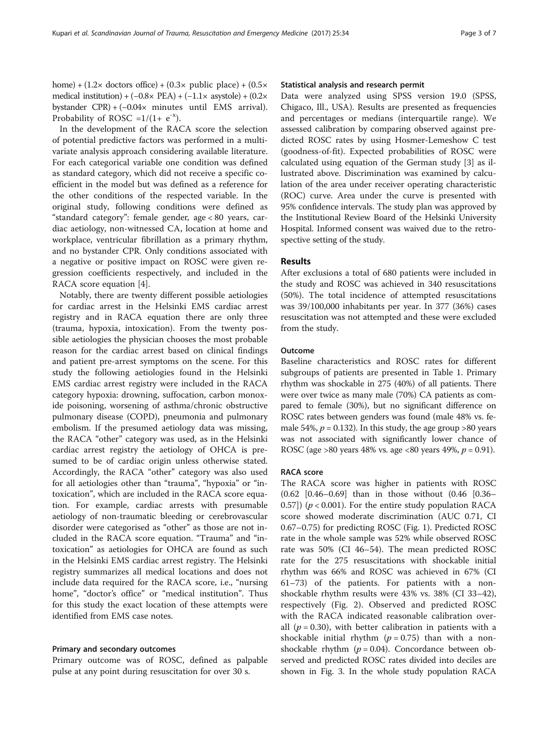home) +  $(1.2 \times$  doctors office) +  $(0.3 \times$  public place) +  $(0.5 \times$ medical institution) +  $(-0.8 \times$  PEA) +  $(-1.1 \times$  asystole) +  $(0.2 \times$ bystander  $CPR$ ) + (-0.04× minutes until EMS arrival). Probability of ROSC = $1/(1+e^{-x})$ .

In the development of the RACA score the selection of potential predictive factors was performed in a multivariate analysis approach considering available literature. For each categorical variable one condition was defined as standard category, which did not receive a specific coefficient in the model but was defined as a reference for the other conditions of the respected variable. In the original study, following conditions were defined as "standard category": female gender, age < 80 years, cardiac aetiology, non-witnessed CA, location at home and workplace, ventricular fibrillation as a primary rhythm, and no bystander CPR. Only conditions associated with a negative or positive impact on ROSC were given regression coefficients respectively, and included in the RACA score equation [[4\]](#page-6-0).

Notably, there are twenty different possible aetiologies for cardiac arrest in the Helsinki EMS cardiac arrest registry and in RACA equation there are only three (trauma, hypoxia, intoxication). From the twenty possible aetiologies the physician chooses the most probable reason for the cardiac arrest based on clinical findings and patient pre-arrest symptoms on the scene. For this study the following aetiologies found in the Helsinki EMS cardiac arrest registry were included in the RACA category hypoxia: drowning, suffocation, carbon monoxide poisoning, worsening of asthma/chronic obstructive pulmonary disease (COPD), pneumonia and pulmonary embolism. If the presumed aetiology data was missing, the RACA "other" category was used, as in the Helsinki cardiac arrest registry the aetiology of OHCA is presumed to be of cardiac origin unless otherwise stated. Accordingly, the RACA "other" category was also used for all aetiologies other than "trauma", "hypoxia" or "intoxication", which are included in the RACA score equation. For example, cardiac arrests with presumable aetiology of non-traumatic bleeding or cerebrovascular disorder were categorised as "other" as those are not included in the RACA score equation. "Trauma" and "intoxication" as aetiologies for OHCA are found as such in the Helsinki EMS cardiac arrest registry. The Helsinki registry summarizes all medical locations and does not include data required for the RACA score, i.e., "nursing home", "doctor's office" or "medical institution". Thus for this study the exact location of these attempts were identified from EMS case notes.

#### Primary and secondary outcomes

Primary outcome was of ROSC, defined as palpable pulse at any point during resuscitation for over 30 s.

# Statistical analysis and research permit

Data were analyzed using SPSS version 19.0 (SPSS, Chigaco, Ill., USA). Results are presented as frequencies and percentages or medians (interquartile range). We assessed calibration by comparing observed against predicted ROSC rates by using Hosmer-Lemeshow C test (goodness-of-fit). Expected probabilities of ROSC were calculated using equation of the German study [[3](#page-6-0)] as illustrated above. Discrimination was examined by calculation of the area under receiver operating characteristic (ROC) curve. Area under the curve is presented with 95% confidence intervals. The study plan was approved by the Institutional Review Board of the Helsinki University Hospital. Informed consent was waived due to the retrospective setting of the study.

#### Results

After exclusions a total of 680 patients were included in the study and ROSC was achieved in 340 resuscitations (50%). The total incidence of attempted resuscitations was 39/100,000 inhabitants per year. In 377 (36%) cases resuscitation was not attempted and these were excluded from the study.

# Outcome

Baseline characteristics and ROSC rates for different subgroups of patients are presented in Table [1](#page-3-0). Primary rhythm was shockable in 275 (40%) of all patients. There were over twice as many male (70%) CA patients as compared to female (30%), but no significant difference on ROSC rates between genders was found (male 48% vs. female 54%,  $p = 0.132$ ). In this study, the age group >80 years was not associated with significantly lower chance of ROSC (age >80 years 48% vs. age <80 years 49%,  $p = 0.91$ ).

# RACA score

The RACA score was higher in patients with ROSC (0.62 [0.46–0.69] than in those without (0.46 [0.36– 0.57]) ( $p < 0.001$ ). For the entire study population RACA score showed moderate discrimination (AUC 0.71, CI 0.67–0.75) for predicting ROSC (Fig. [1](#page-3-0)). Predicted ROSC rate in the whole sample was 52% while observed ROSC rate was 50% (CI 46–54). The mean predicted ROSC rate for the 275 resuscitations with shockable initial rhythm was 66% and ROSC was achieved in 67% (CI 61–73) of the patients. For patients with a nonshockable rhythm results were 43% vs. 38% (CI 33–42), respectively (Fig. [2\)](#page-3-0). Observed and predicted ROSC with the RACA indicated reasonable calibration overall ( $p = 0.30$ ), with better calibration in patients with a shockable initial rhythm ( $p = 0.75$ ) than with a nonshockable rhythm  $(p = 0.04)$ . Concordance between observed and predicted ROSC rates divided into deciles are shown in Fig. [3.](#page-4-0) In the whole study population RACA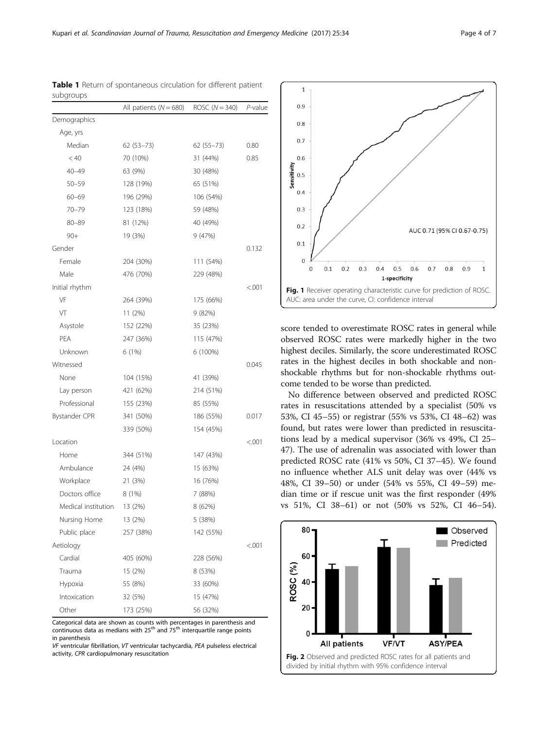score tended to overestimate ROSC rates in general while observed ROSC rates were markedly higher in the two highest deciles. Similarly, the score underestimated ROSC rates in the highest deciles in both shockable and nonshockable rhythms but for non-shockable rhythms outcome tended to be worse than predicted.

No difference between observed and predicted ROSC rates in resuscitations attended by a specialist (50% vs 53%, CI 45–55) or registrar (55% vs 53%, CI 48–62) was found, but rates were lower than predicted in resuscitations lead by a medical supervisor (36% vs 49%, CI 25– 47). The use of adrenalin was associated with lower than predicted ROSC rate (41% vs 50%, CI 37–45). We found no influence whether ALS unit delay was over (44% vs 48%, CI 39–50) or under (54% vs 55%, CI 49–59) median time or if rescue unit was the first responder (49% vs 51%, CI 38–61) or not (50% vs 52%, CI 46–54).



<span id="page-3-0"></span>subgroups

|                     | All patients ( $N = 680$ ) | ROSC $(N = 340)$ | P-value |
|---------------------|----------------------------|------------------|---------|
| Demographics        |                            |                  |         |
| Age, yrs            |                            |                  |         |
| Median              | $62(53 - 73)$              | $62(55 - 73)$    | 0.80    |
| < 40                | 70 (10%)                   | 31 (44%)         | 0.85    |
| $40 - 49$           | 63 (9%)                    | 30 (48%)         |         |
| $50 - 59$           | 128 (19%)                  | 65 (51%)         |         |
| $60 - 69$           | 196 (29%)                  | 106 (54%)        |         |
| 70-79               | 123 (18%)                  | 59 (48%)         |         |
| $80 - 89$           | 81 (12%)                   | 40 (49%)         |         |
| $90+$               | 19 (3%)                    | 9 (47%)          |         |
| Gender              |                            |                  | 0.132   |
| Female              | 204 (30%)                  | 111 (54%)        |         |
| Male                | 476 (70%)                  | 229 (48%)        |         |
| Initial rhythm      |                            |                  | < 0.001 |
| VF                  | 264 (39%)                  | 175 (66%)        |         |
| VT                  | 11 (2%)                    | 9 (82%)          |         |
| Asystole            | 152 (22%)                  | 35 (23%)         |         |
| PEA                 | 247 (36%)                  | 115 (47%)        |         |
| Unknown             | 6 (1%)                     | 6 (100%)         |         |
| Witnessed           |                            |                  | 0.045   |
| None                | 104 (15%)                  | 41 (39%)         |         |
| Lay person          | 421 (62%)                  | 214 (51%)        |         |
| Professional        | 155 (23%)                  | 85 (55%)         |         |
| Bystander CPR       | 341 (50%)                  | 186 (55%)        | 0.017   |
|                     | 339 (50%)                  | 154 (45%)        |         |
| Location            |                            |                  | < 0.001 |
| Home                | 344 (51%)                  | 147 (43%)        |         |
| Ambulance           | 24 (4%)                    | 15 (63%)         |         |
| Workplace           | 21 (3%)                    | 16 (76%)         |         |
| Doctors office      | 8(1%)                      | 7 (88%)          |         |
| Medical institution | 13 (2%)                    | 8 (62%)          |         |
| Nursing Home        | 13 (2%)                    | 5 (38%)          |         |
| Public place        | 257 (38%)                  | 142 (55%)        |         |
| Aetiology           |                            |                  | < 0.001 |
| Cardial             | 405 (60%)                  | 228 (56%)        |         |
| Trauma              | 15 (2%)                    | 8 (53%)          |         |
| Hypoxia             | 55 (8%)                    | 33 (60%)         |         |
| Intoxication        | 32 (5%)                    | 15 (47%)         |         |
| Other               | 173 (25%)                  | 56 (32%)         |         |

Categorical data are shown as counts with percentages in parenthesis and continuous data as medians with 25th and 75th interquartile range points in parenthesis

VF ventricular fibrillation, VT ventricular tachycardia, PEA pulseless electrical activity, CPR cardiopulmonary resuscitation

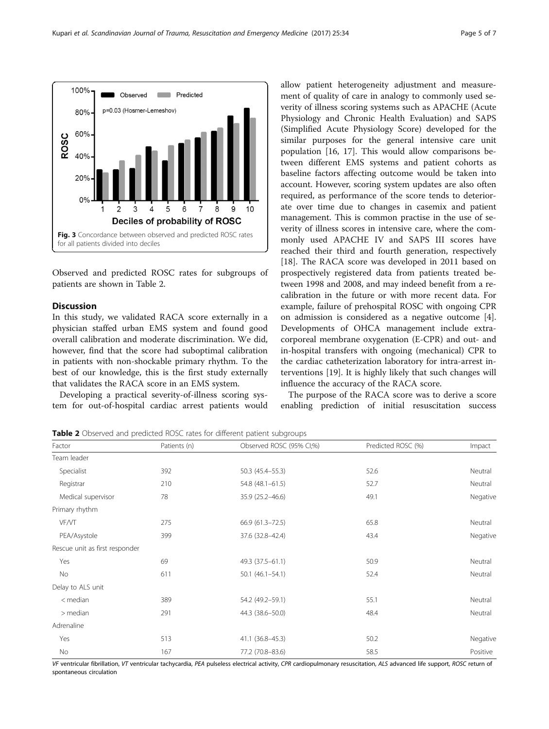<span id="page-4-0"></span>

Observed and predicted ROSC rates for subgroups of patients are shown in Table 2.

# **Discussion**

In this study, we validated RACA score externally in a physician staffed urban EMS system and found good overall calibration and moderate discrimination. We did, however, find that the score had suboptimal calibration in patients with non-shockable primary rhythm. To the best of our knowledge, this is the first study externally that validates the RACA score in an EMS system.

Developing a practical severity-of-illness scoring system for out-of-hospital cardiac arrest patients would allow patient heterogeneity adjustment and measurement of quality of care in analogy to commonly used severity of illness scoring systems such as APACHE (Acute Physiology and Chronic Health Evaluation) and SAPS (Simplified Acute Physiology Score) developed for the similar purposes for the general intensive care unit population [\[16](#page-6-0), [17](#page-6-0)]. This would allow comparisons between different EMS systems and patient cohorts as baseline factors affecting outcome would be taken into account. However, scoring system updates are also often required, as performance of the score tends to deteriorate over time due to changes in casemix and patient management. This is common practise in the use of severity of illness scores in intensive care, where the commonly used APACHE IV and SAPS III scores have reached their third and fourth generation, respectively [[18\]](#page-6-0). The RACA score was developed in 2011 based on prospectively registered data from patients treated between 1998 and 2008, and may indeed benefit from a recalibration in the future or with more recent data. For example, failure of prehospital ROSC with ongoing CPR on admission is considered as a negative outcome [\[4](#page-6-0)]. Developments of OHCA management include extracorporeal membrane oxygenation (E-CPR) and out- and in-hospital transfers with ongoing (mechanical) CPR to the cardiac catheterization laboratory for intra-arrest interventions [[19\]](#page-6-0). It is highly likely that such changes will influence the accuracy of the RACA score.

The purpose of the RACA score was to derive a score enabling prediction of initial resuscitation success

Table 2 Observed and predicted ROSC rates for different patient subgroups

| Factor                         | Patients (n) | Observed ROSC (95% CI;%) | Predicted ROSC (%) | Impact   |
|--------------------------------|--------------|--------------------------|--------------------|----------|
| Team leader                    |              |                          |                    |          |
| Specialist                     | 392          | 50.3 (45.4-55.3)         | 52.6               | Neutral  |
| Registrar                      | 210          | 54.8 (48.1-61.5)         | 52.7               | Neutral  |
| Medical supervisor             | 78           | 35.9 (25.2-46.6)         | 49.1               | Negative |
| Primary rhythm                 |              |                          |                    |          |
| VF/VT                          | 275          | 66.9 (61.3-72.5)         | 65.8               | Neutral  |
| PEA/Asystole                   | 399          | 37.6 (32.8-42.4)         | 43.4               | Negative |
| Rescue unit as first responder |              |                          |                    |          |
| Yes                            | 69           | 49.3 (37.5-61.1)         | 50.9               | Neutral  |
| No                             | 611          | $50.1 (46.1 - 54.1)$     | 52.4               | Neutral  |
| Delay to ALS unit              |              |                          |                    |          |
| $<$ median                     | 389          | 54.2 (49.2-59.1)         | 55.1               | Neutral  |
| $>$ median                     | 291          | 44.3 (38.6-50.0)         | 48.4               | Neutral  |
| Adrenaline                     |              |                          |                    |          |
| Yes                            | 513          | 41.1 (36.8-45.3)         | 50.2               | Negative |
| No                             | 167          | 77.2 (70.8-83.6)         | 58.5               | Positive |

VF ventricular fibrillation, VT ventricular tachycardia, PEA pulseless electrical activity, CPR cardiopulmonary resuscitation, ALS advanced life support, ROSC return of spontaneous circulation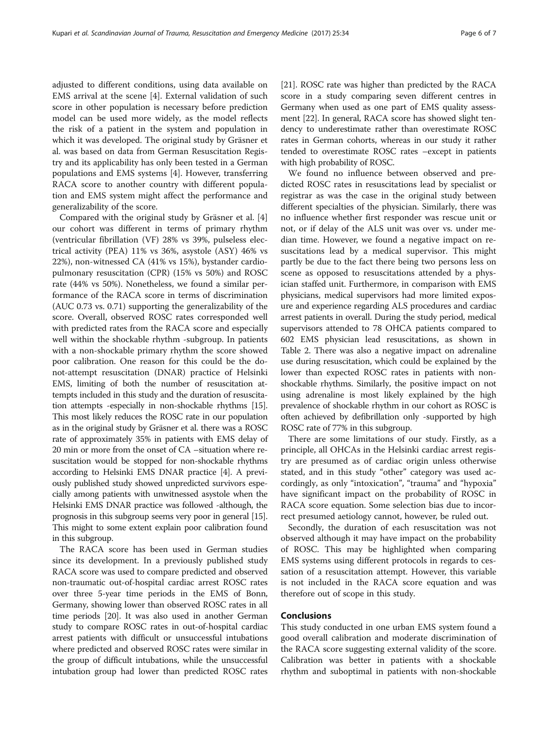adjusted to different conditions, using data available on EMS arrival at the scene [[4\]](#page-6-0). External validation of such score in other population is necessary before prediction model can be used more widely, as the model reflects the risk of a patient in the system and population in which it was developed. The original study by Gräsner et al. was based on data from German Resuscitation Registry and its applicability has only been tested in a German populations and EMS systems [[4\]](#page-6-0). However, transferring RACA score to another country with different population and EMS system might affect the performance and generalizability of the score.

Compared with the original study by Gräsner et al. [\[4](#page-6-0)] our cohort was different in terms of primary rhythm (ventricular fibrillation (VF) 28% vs 39%, pulseless electrical activity (PEA) 11% vs 36%, asystole (ASY) 46% vs 22%), non-witnessed CA (41% vs 15%), bystander cardiopulmonary resuscitation (CPR) (15% vs 50%) and ROSC rate (44% vs 50%). Nonetheless, we found a similar performance of the RACA score in terms of discrimination (AUC 0.73 vs. 0.71) supporting the generalizability of the score. Overall, observed ROSC rates corresponded well with predicted rates from the RACA score and especially well within the shockable rhythm -subgroup. In patients with a non-shockable primary rhythm the score showed poor calibration. One reason for this could be the donot-attempt resuscitation (DNAR) practice of Helsinki EMS, limiting of both the number of resuscitation attempts included in this study and the duration of resuscitation attempts -especially in non-shockable rhythms [\[15](#page-6-0)]. This most likely reduces the ROSC rate in our population as in the original study by Gräsner et al. there was a ROSC rate of approximately 35% in patients with EMS delay of 20 min or more from the onset of CA –situation where resuscitation would be stopped for non-shockable rhythms according to Helsinki EMS DNAR practice [\[4\]](#page-6-0). A previously published study showed unpredicted survivors especially among patients with unwitnessed asystole when the Helsinki EMS DNAR practice was followed -although, the prognosis in this subgroup seems very poor in general [[15](#page-6-0)]. This might to some extent explain poor calibration found in this subgroup.

The RACA score has been used in German studies since its development. In a previously published study RACA score was used to compare predicted and observed non-traumatic out-of-hospital cardiac arrest ROSC rates over three 5-year time periods in the EMS of Bonn, Germany, showing lower than observed ROSC rates in all time periods [\[20](#page-6-0)]. It was also used in another German study to compare ROSC rates in out-of-hospital cardiac arrest patients with difficult or unsuccessful intubations where predicted and observed ROSC rates were similar in the group of difficult intubations, while the unsuccessful intubation group had lower than predicted ROSC rates

[[21](#page-6-0)]. ROSC rate was higher than predicted by the RACA score in a study comparing seven different centres in Germany when used as one part of EMS quality assessment [[22](#page-6-0)]. In general, RACA score has showed slight tendency to underestimate rather than overestimate ROSC rates in German cohorts, whereas in our study it rather tended to overestimate ROSC rates –except in patients with high probability of ROSC.

We found no influence between observed and predicted ROSC rates in resuscitations lead by specialist or registrar as was the case in the original study between different specialties of the physician. Similarly, there was no influence whether first responder was rescue unit or not, or if delay of the ALS unit was over vs. under median time. However, we found a negative impact on resuscitations lead by a medical supervisor. This might partly be due to the fact there being two persons less on scene as opposed to resuscitations attended by a physician staffed unit. Furthermore, in comparison with EMS physicians, medical supervisors had more limited exposure and experience regarding ALS procedures and cardiac arrest patients in overall. During the study period, medical supervisors attended to 78 OHCA patients compared to 602 EMS physician lead resuscitations, as shown in Table [2](#page-4-0). There was also a negative impact on adrenaline use during resuscitation, which could be explained by the lower than expected ROSC rates in patients with nonshockable rhythms. Similarly, the positive impact on not using adrenaline is most likely explained by the high prevalence of shockable rhythm in our cohort as ROSC is often achieved by defibrillation only -supported by high ROSC rate of 77% in this subgroup.

There are some limitations of our study. Firstly, as a principle, all OHCAs in the Helsinki cardiac arrest registry are presumed as of cardiac origin unless otherwise stated, and in this study "other" category was used accordingly, as only "intoxication", "trauma" and "hypoxia" have significant impact on the probability of ROSC in RACA score equation. Some selection bias due to incorrect presumed aetiology cannot, however, be ruled out.

Secondly, the duration of each resuscitation was not observed although it may have impact on the probability of ROSC. This may be highlighted when comparing EMS systems using different protocols in regards to cessation of a resuscitation attempt. However, this variable is not included in the RACA score equation and was therefore out of scope in this study.

# Conclusions

This study conducted in one urban EMS system found a good overall calibration and moderate discrimination of the RACA score suggesting external validity of the score. Calibration was better in patients with a shockable rhythm and suboptimal in patients with non-shockable